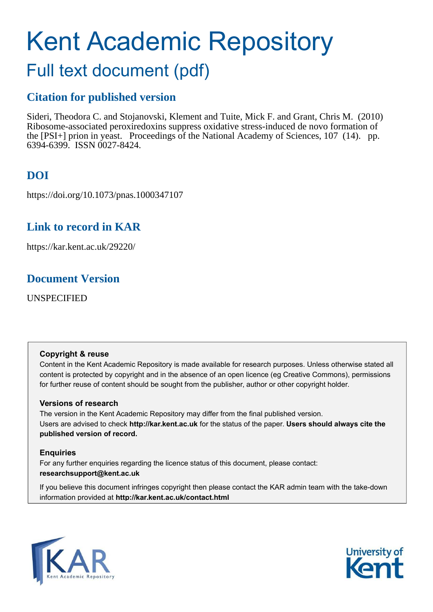# Kent Academic Repository

# Full text document (pdf)

## **Citation for published version**

Sideri, Theodora C. and Stojanovski, Klement and Tuite, Mick F. and Grant, Chris M. (2010) Ribosome-associated peroxiredoxins suppress oxidative stress-induced de novo formation of the [PSI+] prion in yeast. Proceedings of the National Academy of Sciences, 107 (14). pp. 6394-6399. ISSN 0027-8424.

# **DOI**

https://doi.org/10.1073/pnas.1000347107

## **Link to record in KAR**

https://kar.kent.ac.uk/29220/

## **Document Version**

UNSPECIFIED

## **Copyright & reuse**

Content in the Kent Academic Repository is made available for research purposes. Unless otherwise stated all content is protected by copyright and in the absence of an open licence (eg Creative Commons), permissions for further reuse of content should be sought from the publisher, author or other copyright holder.

## **Versions of research**

The version in the Kent Academic Repository may differ from the final published version. Users are advised to check **http://kar.kent.ac.uk** for the status of the paper. **Users should always cite the published version of record.**

## **Enquiries**

For any further enquiries regarding the licence status of this document, please contact: **researchsupport@kent.ac.uk**

If you believe this document infringes copyright then please contact the KAR admin team with the take-down information provided at **http://kar.kent.ac.uk/contact.html**



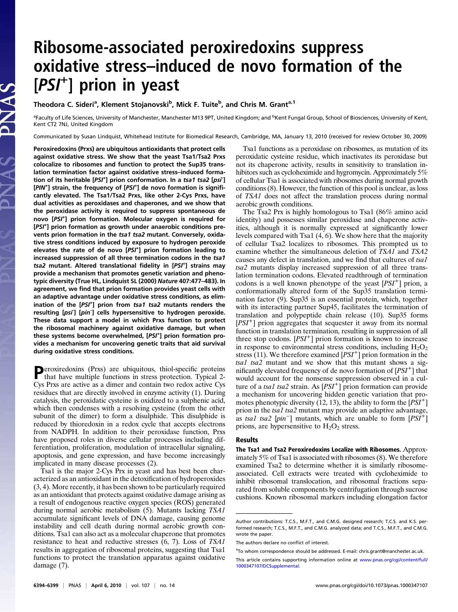# Ribosome-associated peroxiredoxins suppress oxidative stress–induced de novo formation of the [PSI<sup>+</sup> ] prion in yeast

Theodora C. Sideri<sup>a</sup>, Klement Stojanovski<sup>b</sup>, Mick F. Tuite<sup>b</sup>, and Chris M. Grant<sup>a, 1</sup>

<sup>a</sup>Faculty of Life Sciences, University of Manchester, Manchester M13 9PT, United Kingdom; and <sup>b</sup>Kent Fungal Group, School of Biosciences, University of Kent, Kent CT2 7NJ, United Kingdom

Communicated by Susan Lindquist, Whitehead Institute for Biomedical Research, Cambridge, MA, January 13, 2010 (received for review October 30, 2009)

Peroxiredoxins (Prxs) are ubiquitous antioxidants that protect cells against oxidative stress. We show that the yeast Tsa1/Tsa2 Prxs colocalize to ribosomes and function to protect the Sup35 translation termination factor against oxidative stress–induced formation of its heritable [PSI<sup>+</sup>] prion conformation. In a tsa1 tsa2 [psi<sup>-</sup>] [PIN<sup>+</sup>] strain, the frequency of [PSI<sup>+</sup>] de novo formation is significantly elevated. The Tsa1/Tsa2 Prxs, like other 2-Cys Prxs, have dual activities as peroxidases and chaperones, and we show that the peroxidase activity is required to suppress spontaneous de novo [PSI<sup>+</sup> ] prion formation. Molecular oxygen is required for [PSI<sup>+</sup>] prion formation as growth under anaerobic conditions prevents prion formation in the tsa1 tsa2 mutant. Conversely, oxidative stress conditions induced by exposure to hydrogen peroxide elevates the rate of de novo [PSI<sup>+</sup>] prion formation leading to increased suppression of all three termination codons in the tsa1 tsa2 mutant. Altered translational fidelity in [PSI<sup>+</sup>] strains may provide a mechanism that promotes genetic variation and phenotypic diversity (True HL, Lindquist SL (2000) Nature 407:477–483). In agreement, we find that prion formation provides yeast cells with an adaptive advantage under oxidative stress conditions, as elimination of the [PSI<sup>+</sup>] prion from tsa1 tsa2 mutants renders the resulting [psi<sup>-</sup>] [pin<sup>-</sup>] cells hypersensitive to hydrogen peroxide. These data support a model in which Prxs function to protect the ribosomal machinery against oxidative damage, but when these systems become overwhelmed, [PSI<sup>+</sup>] prion formation provides a mechanism for uncovering genetic traits that aid survival during oxidative stress conditions.

**P**eroxiredoxins (Prxs) are ubiquitous, thiol-specific proteins that have multiple functions in stress protection. Typical 2that have multiple functions in stress protection. Typical 2- Cys Prxs are active as a dimer and contain two redox active Cys residues that are directly involved in enzyme activity (1). During catalysis, the peroxidatic cysteine is oxidized to a sulphenic acid, which then condenses with a resolving cysteine (from the other subunit of the dimer) to form a disulphide. This disulphide is reduced by thioredoxin in a redox cycle that accepts electrons from NADPH. In addition to their peroxidase function, Prxs have proposed roles in diverse cellular processes including differentiation, proliferation, modulation of intracellular signaling, apoptosis, and gene expression, and have become increasingly implicated in many disease processes (2).

Tsa1 is the major 2-Cys Prx in yeast and has best been characterized as an antioxidant in the detoxification of hydroperoxides (3, 4). More recently, it has been shown to be particularly required as an antioxidant that protects against oxidative damage arising as a result of endogenous reactive oxygen species (ROS) generated during normal aerobic metabolism (5). Mutants lacking TSA1 accumulate significant levels of DNA damage, causing genome instability and cell death during normal aerobic growth conditions. Tsa1 can also act as a molecular chaperone that promotes resistance to heat and reductive stresses (6, 7). Loss of TSA1 results in aggregation of ribosomal proteins, suggesting that Tsa1 functions to protect the translation apparatus against oxidative damage (7).

Tsa1 functions as a peroxidase on ribosomes, as mutation of its peroxidatic cysteine residue, which inactivates its peroxidase but not its chaperone activity, results in sensitivity to translation inhibitors such as cycloheximide and hygromycin. Approximately 5% of cellular Tsa1 is associated with ribosomes during normal growth conditions (8). However, the function of this pool is unclear, as loss of TSA1 does not affect the translation process during normal aerobic growth conditions.

The Tsa2 Prx is highly homologous to Tsa1 (86% amino acid identity) and possesses similar peroxidase and chaperone activities, although it is normally expressed at significantly lower levels compared with Tsa1 (4, 6). We show here that the majority of cellular Tsa2 localizes to ribosomes. This prompted us to examine whether the simultaneous deletion of TSA1 and TSA2 causes any defect in translation, and we find that cultures of tsa1 tsa2 mutants display increased suppression of all three translation termination codons. Elevated readthrough of termination codons is a well known phenotype of the yeast  $[PSI^+]$  prion, a conformationally altered form of the Sup35 translation termination factor (9). Sup35 is an essential protein, which, together with its interacting partner Sup45, facilitates the termination of translation and polypeptide chain release (10). Sup35 forms [PSI<sup>+</sup>] prion aggregates that sequester it away from its normal function in translation termination, resulting in suppression of all three stop codons.  $[PSI^+]$  prion formation is known to increase in response to environmental stress conditions, including  $H_2O_2$ stress (11). We therefore examined  $[PSI^+]$  prion formation in the tsa1 tsa2 mutant and we show that this mutant shows a significantly elevated frequency of de novo formation of  $[PSI^+]$  that would account for the nonsense suppression observed in a culture of a tsal tsa2 strain. As  $[PSI^+]$  prion formation can provide a mechanism for uncovering hidden genetic variation that promotes phenotypic diversity (12, 13), the ability to form the  $[\overline{PSI}^+]$ prion in the tsa1 tsa2 mutant may provide an adaptive advantage, as tsa1 tsa2 [pin<sup>-</sup>] mutants, which are unable to form  $[PSI^+]$ prions, are hypersensitive to  $H_2O_2$  stress.

#### Results

The Tsa1 and Tsa2 Peroxiredoxins Localize with Ribosomes. Approximately 5% of Tsa1 is associated with ribosomes (8). We therefore examined Tsa2 to determine whether it is similarly ribosomeassociated. Cell extracts were treated with cycloheximide to inhibit ribosomal translocation, and ribosomal fractions separated from soluble components by centrifugation through sucrose cushions. Known ribosomal markers including elongation factor

Author contributions: T.C.S., M.F.T., and C.M.G. designed research; T.C.S. and K.S. performed research; T.C.S., M.F.T., and C.M.G. analyzed data; and T.C.S., M.F.T., and C.M.G. wrote the paper.

The authors declare no conflict of interest.

<sup>&</sup>lt;sup>1</sup>To whom correspondence should be addressed. E-mail: [chris.grant@manchester.ac.uk.](mailto:chris.grant@manchester.ac.uk)

This article contains supporting information online at [www.pnas.org/cgi/content/full/](http://www.pnas.org/cgi/content/full/1000347107/DCSupplemental) [1000347107/DCSupplemental.](http://www.pnas.org/cgi/content/full/1000347107/DCSupplemental)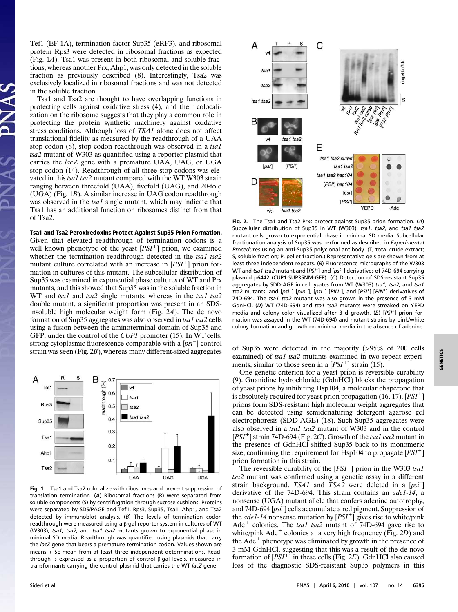Tef1 (EF-1A), termination factor Sup35 (eRF3), and ribosomal protein Rps3 were detected in ribosomal fractions as expected (Fig. 1A). Tsa1 was present in both ribosomal and soluble fractions, whereas another Prx, Ahp1, was only detected in the soluble fraction as previously described (8). Interestingly, Tsa2 was exclusively localized in ribosomal fractions and was not detected in the soluble fraction.

Tsa1 and Tsa2 are thought to have overlapping functions in protecting cells against oxidative stress (4), and their colocalization on the ribosome suggests that they play a common role in protecting the protein synthetic machinery against oxidative stress conditions. Although loss of TSA1 alone does not affect translational fidelity as measured by the readthrough of a UAA stop codon (8), stop codon readthrough was observed in a tsa1 tsa2 mutant of W303 as quantified using a reporter plasmid that carries the lacZ gene with a premature UAA, UAG, or UGA stop codon (14). Readthrough of all three stop codons was elevated in this tsal tsa2 mutant compared with the WT W303 strain ranging between threefold (UAA), fivefold (UAG), and 20-fold (UGA) (Fig. 1B). A similar increase in UAG codon readthrough was observed in the tsal single mutant, which may indicate that Tsa1 has an additional function on ribosomes distinct from that of Tsa2.

#### Tsa1 and Tsa2 Peroxiredoxins Protect Against Sup35 Prion Formation.

Given that elevated readthrough of termination codons is a well known phenotype of the yeast  $[PSI^+]$  prion, we examined whether the termination readthrough detected in the tsal tsa2 mutant culture correlated with an increase in  $[PSI^+]$  prion formation in cultures of this mutant. The subcellular distribution of Sup35 was examined in exponential phase cultures of WT and Prx mutants, and this showed that Sup35 was in the soluble fraction in WT and tsal and tsa2 single mutants, whereas in the tsal tsa2 double mutant, a significant proportion was present in an SDSinsoluble high molecular weight form (Fig. 2A). The de novo formation of Sup35 aggregates was also observed in tsa1 tsa2 cells using a fusion between the aminoterminal domain of Sup35 and GFP, under the control of the CUP1 promoter (15). In WT cells, strong cytoplasmic fluorescence comparable with a [psi<sup>−</sup>] control



Fig. 1. Tsa1 and Tsa2 colocalize with ribosomes and prevent suppression of translation termination. (A) Ribosomal fractions (R) were separated from soluble components (S) by centrifugation through sucrose cushions. Proteins were separated by SDS/PAGE and Tef1, Rps3, Sup35, Tsa1, Ahp1, and Tsa2 detected by immunoblot analysis. (B) The levels of termination codon readthrough were measured using a β-gal reporter system in cultures of WT (W303), tsa1, tsa2, and tsa1 tsa2 mutants grown to exponential phase in minimal SD media. Readthrough was quantified using plasmids that carry the lacZ gene that bears a premature termination codon. Values shown are means  $\pm$  SE mean from at least three independent determinations. Readthrough is expressed as a proportion of control β-gal levels, measured in transformants carrying the control plasmid that carries the WT lacZ gene.



Fig. 2. The Tsa1 and Tsa2 Prxs protect against Sup35 prion formation. (A) Subcellular distribution of Sup35 in WT (W303), tsa1, tsa2, and tsa1 tsa2 mutant cells grown to exponential phase in minimal SD media. Subcellular fractionation analysis of Sup35 was performed as described in Experimental Procedures using an anti-Sup35 polyclonal antibody. (T, total crude extract; S, soluble fraction; P, pellet fraction.) Representative gels are shown from at least three independent repeats. (B) Fluorescence micrographs of the W303 WT and tsa1 tsa2 mutant and [PSI<sup>+</sup> ] and [psi<sup>−</sup> ] derivatives of 74D-694 carrying plasmid p6442 (CUP1-SUP35NM-GFP). (C) Detection of SDS-resistant Sup35 aggregates by SDD-AGE in cell lysates from WT (W303) tsa1, tsa2, and tsa1 tsa2 mutants, and [psi<sup>-</sup>] [pin<sup>-</sup>], [psi<sup>-</sup>] [PIN<sup>+</sup>], and [PSI<sup>+</sup>] [PIN<sup>+</sup>] derivatives of 74D-694. The tsa1 tsa2 mutant was also grown in the presence of 3 mM GdnHCl. (D) WT (74D-694) and tsa1 tsa2 mutants were streaked on YEPD media and colony color visualized after 3 d growth. (E) [PSI<sup>+</sup>] prion formation was assayed in the WT (74D-694) and mutant strains by pink/white colony formation and growth on minimal media in the absence of adenine.

strain was seen (Fig. 2B), whereas many different-sized aggregates of Sup35 were detected in the majority (>95% of 200 cells examined) of tsa1 tsa2 mutants examined in two repeat experiments, similar to those seen in a  $[PSI^+]$  strain (15).

One genetic criterion for a yeast prion is reversible curability (9). Guanidine hydrochloride (GdnHCl) blocks the propagation of yeast prions by inhibiting Hsp104, a molecular chaperone that is absolutely required for yeast prion propagation  $(16, 17)$ . [PSI<sup>+</sup>] prions form SDS-resistant high molecular weight aggregates that can be detected using semidenaturing detergent agarose gel electrophoresis (SDD-AGE) (18). Such Sup35 aggregates were also observed in a tsal tsa2 mutant of W303 and in the control  $[PSI<sup>+</sup>]$  strain 74D-694 (Fig. 2C). Growth of the tsal tsa2 mutant in the presence of GdnHCl shifted Sup35 back to its monomeric size, confirming the requirement for  $\text{Hsp104}$  to propagate  $[PSI^+]$ prion formation in this strain.

The reversible curability of the  $[PSI^+]$  prion in the W303 tsal tsa2 mutant was confirmed using a genetic assay in a different strain background. TSA1 and TSA2 were deleted in a [psi<sup>-</sup>] derivative of the 74D-694. This strain contains an *ade1-14*, a nonsense (UGA) mutant allele that confers adenine autotrophy, and 74D-694 [psi– ] cells accumulate a red pigment. Suppression of the *ade1-14* nonsense mutation by  $[PSI^+]$  gives rise to white/pink Ade<sup>+</sup> colonies. The tsal tsa2 mutant of 74D-694 gave rise to white/pink  $A$ de<sup>+</sup> colonies at a very high frequency (Fig. 2D) and the Ade<sup>+</sup> phenotype was eliminated by growth in the presence of 3 mM GdnHCl, suggesting that this was a result of the de novo formation of  $[PSI^+]$  in these cells (Fig. 2E). GdnHCl also caused loss of the diagnostic SDS-resistant Sup35 polymers in this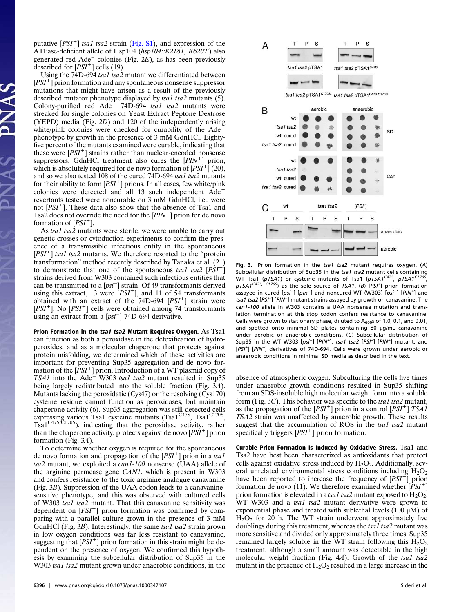putative [PSI<sup>+</sup>] tsa1 tsa2 strain ([Fig. S1\)](http://www.pnas.org/cgi/data/1000347107/DCSupplemental/Supplemental_PDF#nameddest=sfig01), and expression of the ATPase-deficient allele of Hsp104 (hsp104::K218T, K620T) also generated red Ade<sup>−</sup> colonies (Fig. 2E), as has been previously described for  $[PSI^+]$  cells (19).

Using the 74D-694 tsa1 tsa2 mutant we differentiated between  $[PSI<sup>+</sup>]$  prion formation and any spontaneous nonsense suppressor mutations that might have arisen as a result of the previously described mutator phenotype displayed by tsa1 tsa2 mutants (5). Colony-purified red Ade<sup> $+$ </sup> 74D-694 tsal tsa2 mutants were streaked for single colonies on Yeast Extract Peptone Dextrose (YEPD) media (Fig. 2D) and 120 of the independently arising white/pink colonies were checked for curability of the Ade phenotype by growth in the presence of 3 mM GdnHCl. Eightyfive percent of the mutants examined were curable, indicating that these were  $[PSI^+]$  strains rather than nuclear-encoded nonsense suppressors. GdnHCl treatment also cures the  $[PIN^+]$  prion, which is absolutely required for de novo formation of  $[PSI^+]$  (20), and so we also tested 108 of the cured 74D-694 tsa1 tsa2 mutants for their ability to form  $[PSI^+]$  prions. In all cases, few white/pink colonies were detected and all 13 such independent Ade<sup>+</sup> revertants tested were noncurable on 3 mM GdnHCl, i.e., were not [PSI<sup>+</sup>]. These data also show that the absence of Tsa1 and Tsa2 does not override the need for the  $[PIN^+]$  prion for de novo formation of  $[PSI^+]$ .

As tsal tsa2 mutants were sterile, we were unable to carry out genetic crosses or cytoduction experiments to confirm the presence of a transmissible infectious entity in the spontaneous  $[PSI<sup>+</sup>]$  tsa1 tsa2 mutants. We therefore resorted to the "protein transformation" method recently described by Tanaka et al. (21) to demonstrate that one of the spontaneous tsal tsa2  $[PSI^+]$ strains derived from W303 contained such infectious entities that can be transmitted to a  $[psi^-]$  strain. Of 49 transformants derived using this extract, 13 were  $[PSI^+]$ , and 11 of 54 transformants obtained with an extract of the  $74D-694$   $[PSI^+]$  strain were  $[PSI^+]$ . No  $[PSI^+]$  cells were obtained among 74 transformants  $\mu$  or  $\mu$  or  $\mu$  or  $\mu$  can were columned along 7.

Prion Formation in the tsa1 tsa2 Mutant Requires Oxygen. As Tsa1 can function as both a peroxidase in the detoxification of hydroperoxides, and as a molecular chaperone that protects against protein misfolding, we determined which of these activities are important for preventing Sup35 aggregation and de novo formation of the  $[PSI^+]$  prion. Introduction of a WT plasmid copy of TSA1 into the Ade<sup>−</sup> W303 tsa1 tsa2 mutant resulted in Sup35 being largely redistributed into the soluble fraction (Fig. 3A). Mutants lacking the peroxidatic (Cys47) or the resolving (Cys170) cysteine residue cannot function as peroxidases, but maintain chaperone activity (6). Sup35 aggregation was still detected cells expressing various Tsa1 cysteine mutants (Tsa1<sup>C47S</sup>, Tsa1<sup>C170S</sup>, Tsa1C47S/C170S), indicating that the peroxidase activity, rather than the chaperone activity, protects against de novo  $[PSI^+]$  prion formation (Fig. 3A).

To determine whether oxygen is required for the spontaneous de novo formation and propagation of the  $[PSI^+]$  prion in a tsal tsa2 mutant, we exploited a can1-100 nonsense (UAA) allele of the arginine permease gene CAN1, which is present in W303 and confers resistance to the toxic arginine analogue canavanine (Fig. 3B). Suppression of the UAA codon leads to a canavaninesensitive phenotype, and this was observed with cultured cells of W303 tsa1 tsa2 mutant. That this canavanine sensitivity was dependent on  $[PSI^+]$  prion formation was confirmed by comparing with a parallel culture grown in the presence of 3 mM GdnHCl (Fig. 3B). Interestingly, the same tsal tsa2 strain grown in low oxygen conditions was far less resistant to canavanine, suggesting that  $[PSI^+]$  prion formation in this strain might be dependent on the presence of oxygen. We confirmed this hypothesis by examining the subcellular distribution of Sup35 in the W303 tsa1 tsa2 mutant grown under anaerobic conditions, in the



Fig. 3. Prion formation in the tsa1 tsa2 mutant requires oxygen. (A) Subcellular distribution of Sup35 in the tsa1 tsa2 mutant cells containing WT Tsa1 (pTSA1) or cysteine mutants of Tsa1 (pTSA1<sup>C475</sup>, pTSA1<sup>C170S</sup> WT Tsa1 (pTSA1) or cysteine mutants of Tsa1 (pTSA1<sup>ca/s</sup>, pTSA1<sup>c1/05</sup>,<br>pTSA1<sup>Ca7S, C1705</sup>) as the sole source of TSA1. (B) [PSI<sup>+</sup>] prion formation .<br>assayed in cured [psi<sup>−</sup>] [pin<sup>−</sup>] and noncured WT (W303) [psi<sup>−</sup>] [PIN<sup>+</sup>] and tsa1 tsa2 [PSI<sup>+</sup>] [PIN<sup>+</sup>] mutant strains assayed by growth on canavanine. The can1-100 allele in W303 contains a UAA nonsense mutation and translation termination at this stop codon confers resistance to canavanine. Cells were grown to stationary phase, diluted to  $A_{600}$ s of 1.0, 0.1, and 0.01, and spotted onto minimal SD plates containing 80 μg/mL canavanine under aerobic or anaerobic conditions. (C) Subcellular distribution of Sup35 in the WT W303  $[psi^-]$   $[PIN^+]$ , tsa1 tsa2  $[PSI^+]$   $[PIN^+]$  mutant, and [PSI<sup>+</sup>] [PIN<sup>+</sup>] derivatives of 74D-694. Cells were grown under aerobic or anaerobic conditions in minimal SD media as described in the text.

absence of atmospheric oxygen. Subculturing the cells five times under anaerobic growth conditions resulted in Sup35 shifting from an SDS-insoluble high molecular weight form into a soluble form (Fig. 3C). This behavior was specific to the *tsal tsa2* mutant, as the propagation of the  $[PSI^+]$  prion in a control  $[PSI^+]$  TSA1 TSA2 strain was unaffected by anaerobic growth. These results suggest that the accumulation of ROS in the tsal tsa2 mutant specifically triggers  $[PSI^+]$  prion formation.

Curable Prion Formation Is Induced by Oxidative Stress. Tsa1 and Tsa2 have best been characterized as antioxidants that protect cells against oxidative stress induced by  $H_2O_2$ . Additionally, several unrelated environmental stress conditions including  $H_2O_2$ have been reported to increase the frequency of  $[PSI^+]$  prion formation de novo (11). We therefore examined whether  $[PSI^+]$ prion formation is elevated in a tsal tsa2 mutant exposed to  $H_2O_2$ . WT W303 and a tsal tsa2 mutant derivative were grown to exponential phase and treated with sublethal levels (100  $\mu$ M) of  $H<sub>2</sub>O<sub>2</sub>$  for 20 h. The WT strain underwent approximately five doublings during this treatment, whereas the tsal tsa2 mutant was more sensitive and divided only approximately three times. Sup35 remained largely soluble in the WT strain following this  $H_2O_2$ treatment, although a small amount was detectable in the high molecular weight fraction (Fig. 4A). Growth of the tsal tsa2 mutant in the presence of  $H_2O_2$  resulted in a large increase in the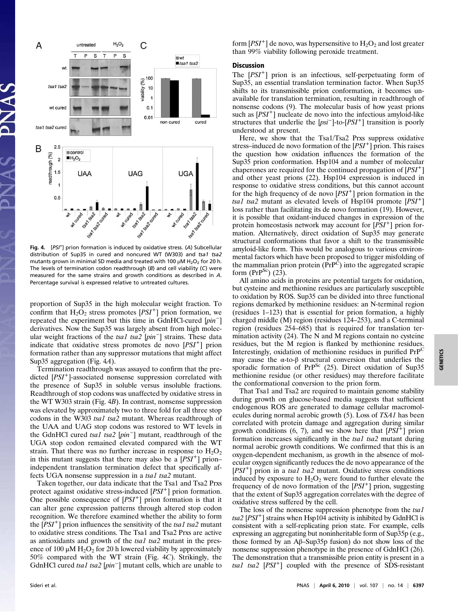

Fig. 4. [PSI<sup>+</sup>] prion formation is induced by oxidative stress. (A) Subcellular distribution of Sup35 in cured and noncured WT (W303) and tsa1 tsa2 mutants grown in minimal SD media and treated with 100  $\mu$ M H<sub>2</sub>O<sub>2</sub> for 20 h. The levels of termination codon readthrough (B) and cell viability (C) were measured for the same strains and growth conditions as described in A. Percentage survival is expressed relative to untreated cultures.

proportion of Sup35 in the high molecular weight fraction. To confirm that  $H_2O_2$  stress promotes [*PSI*<sup>+</sup>] prion formation, we repeated the experiment but this time in GdnHCl-cured  $[pin^-]$ derivatives. Now the Sup35 was largely absent from high molecular weight fractions of the  $tsal$  tsa $2$  [pin $^-$ ] strains. These data indicate that oxidative stress promotes de novo [PSI<sup>+</sup>] prion formation rather than any suppressor mutations that might affect Sup35 aggregation (Fig. 4A).

Termination readthrough was assayed to confirm that the predicted [PSI<sup>+</sup>]-associated nonsense suppression correlated with the presence of Sup35 in soluble versus insoluble fractions. Readthrough of stop codons was unaffected by oxidative stress in the WT W303 strain (Fig. 4B). In contrast, nonsense suppression was elevated by approximately two to three fold for all three stop codons in the W303 tsa1 tsa2 mutant. Whereas readthrough of the UAA and UAG stop codons was restored to WT levels in the GdnHCl cured tsa1 tsa2 [pin<sup>−</sup> ] mutant, readthrough of the UGA stop codon remained elevated compared with the WT strain. That there was no further increase in response to  $H_2O_2$ in this mutant suggests that there may also be a  $[PSI^+]$  prion– independent translation termination defect that specifically affects UGA nonsense suppression in a tsal tsa2 mutant.

Taken together, our data indicate that the Tsa1 and Tsa2 Prxs protect against oxidative stress-induced  $[PSI^+]$  prion formation. One possible consequence of  $[PSI^+]$  prion formation is that it can alter gene expression patterns through altered stop codon recognition. We therefore examined whether the ability to form the  $[PSI^+]$  prion influences the sensitivity of the tsal tsa2 mutant to oxidative stress conditions. The Tsa1 and Tsa2 Prxs are active as antioxidants and growth of the tsal tsa2 mutant in the presence of 100  $\mu$ M H<sub>2</sub>O<sub>2</sub> for 20 h lowered viability by approximately 50% compared with the WT strain (Fig. 4C). Strikingly, the GdnHCl cured tsa1 tsa2  $[pin^-]$  mutant cells, which are unable to

form  $[PSI^+]$  de novo, was hypersensitive to  $H_2O_2$  and lost greater than 99% viability following peroxide treatment.

### **Discussion**

The  $[PSI^+]$  prion is an infectious, self-perpetuating form of Sup35, an essential translation termination factor. When Sup35 shifts to its transmissible prion conformation, it becomes unavailable for translation termination, resulting in readthrough of nonsense codons (9). The molecular basis of how yeast prions such as  $[PSI^+]$  nucleate de novo into the infectious amyloid-like structures that underlie the  $[psi^-]$ -to- $[PSI^+]$  transition is poorly understood at present.

Here, we show that the Tsa1/Tsa2 Prxs suppress oxidative stress–induced de novo formation of the  $[PSI^+]$  prion. This raises the question how oxidation influences the formation of the Sup35 prion conformation. Hsp104 and a number of molecular chaperones are required for the continued propagation of  $[PSI^+]$ and other yeast prions (22). Hsp104 expression is induced in response to oxidative stress conditions, but this cannot account for the high frequency of de novo  $[PSI^+]$  prion formation in the tsal tsa2 mutant as elevated levels of  $\hat{H}sp104$  promote  $[PSI^+]$ loss rather than facilitating its de novo formation (19). However, it is possible that oxidant-induced changes in expression of the protein homeostasis network may account for  $[PSI^+]$  prion formation. Alternatively, direct oxidation of Sup35 may generate structural conformations that favor a shift to the transmissible amyloid-like form. This would be analogous to various environmental factors which have been proposed to trigger misfolding of the mammalian prion protein (PrPC) into the aggregated scrapie form  $(PrP^{Sc})$  (23).

All amino acids in proteins are potential targets for oxidation, but cysteine and methionine residues are particularly susceptible to oxidation by ROS. Sup35 can be divided into three functional regions demarked by methionine residues: an N-terminal region (residues 1–123) that is essential for prion formation, a highly charged middle (M) region (residues 124–253), and a C-terminal region (residues 254–685) that is required for translation termination activity (24). The N and M regions contain no cysteine residues, but the M region is flanked by methionine residues. Interestingly, oxidation of methionine residues in purified PrP<sup>C</sup> may cause the α-to-β structural conversion that underlies the sporadic formation of  $PrP^{Sc}$  (25). Direct oxidation of Sup35 methionine residue (or other residues) may therefore facilitate the conformational conversion to the prion form.

That Tsa1 and Tsa2 are required to maintain genome stability during growth on glucose-based media suggests that sufficient endogenous ROS are generated to damage cellular macromolecules during normal aerobic growth (5). Loss of TSA1 has been correlated with protein damage and aggregation during similar growth conditions  $(6, 7)$ , and we show here that  $[PSI^+]$  prion formation increases significantly in the tsal tsa2 mutant during normal aerobic growth conditions. We confirmed that this is an oxygen-dependent mechanism, as growth in the absence of molecular oxygen significantly reduces the de novo appearance of the [PSI<sup>+</sup>] prion in a tsa1 tsa2 mutant. Oxidative stress conditions induced by exposure to  $H_2O_2$  were found to further elevate the frequency of de novo formation of the  $[PSI^+]$  prion, suggesting that the extent of Sup35 aggregation correlates with the degree of oxidative stress suffered by the cell.

The loss of the nonsense suppression phenotype from the tsal tsa2  $[PSI<sup>+</sup>]$  strains when Hsp104 activity is inhibited by GdnHCl is consistent with a self-replicating prion state. For example, cells expressing an aggregating but noninheritable form of Sup35p (e.g., those formed by an Aβ–Sup35p fusion) do not show loss of the nonsense suppression phenotype in the presence of GdnHCl (26). The demonstration that a transmissible prion entity is present in a tsal tsa2  $[PSI^+]$  coupled with the presence of SDS-resistant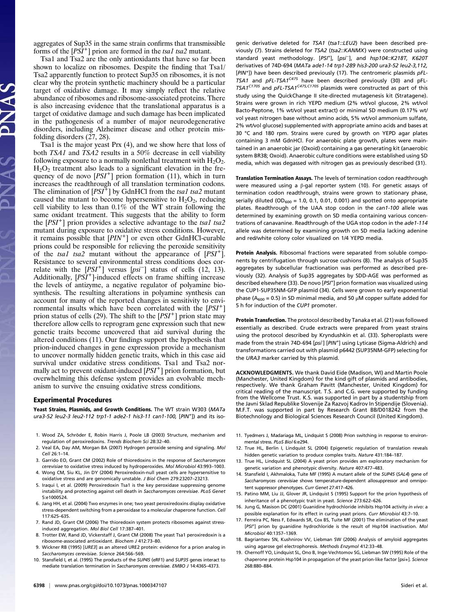aggregates of Sup35 in the same strain confirms that transmissible forms of the  $[PSI^+]$  prion are formed in the tsal tsa2 mutant.

Tsa1 and Tsa2 are the only antioxidants that have so far been shown to localize on ribosomes. Despite the finding that Tsa1/ Tsa2 apparently function to protect Sup35 on ribosomes, it is not clear why the protein synthetic machinery should be a particular target of oxidative damage. It may simply reflect the relative abundance of ribosomes and ribosome-associated proteins. There is also increasing evidence that the translational apparatus is a target of oxidative damage and such damage has been implicated in the pathogenesis of a number of major neurodegenerative disorders, including Alzheimer disease and other protein misfolding disorders (27, 28).

Tsa1 is the major yeast Prx (4), and we show here that loss of both TSA1 and TSA2 results in a 50% decrease in cell viability following exposure to a normally nonlethal treatment with  $H_2O_2$ .  $H<sub>2</sub>O<sub>2</sub>$  treatment also leads to a significant elevation in the frequency of de novo  $[PSI^+]$  prion formation (11), which in turn increases the readthrough of all translation termination codons. The elimination of  $[PSI^+]$  by GdnHCl from the tsa1 tsa2 mutant caused the mutant to become hypersensitive to  $H_2O_2$ , reducing cell viability to less than 0.1% of the WT strain following the same oxidant treatment. This suggests that the ability to form the  $[PSI^+]$  prion provides a selective advantage to the tsal tsa2 mutant during exposure to oxidative stress conditions. However, it remains possible that  $[PIN^+]$  or even other GdnHCl-curable prions could be responsible for relieving the peroxide sensitivity of the tsal tsa2 mutant without the appearance of  $[PSI^+]$ . Resistance to several environmental stress conditions does correlate with the  $[PSI^+]$  versus  $[psi^-]$  status of cells (12, 13). Additionally,  $[PSI^+]$ -induced effects on frame shifting increase the levels of antizyme, a negative regulator of polyamine biosynthesis. The resulting alterations in polyamine synthesis can account for many of the reported changes in sensitivity to environmental insults which have been correlated with the  $[PSI^+]$ prion status of cells (29). The shift to the  $[PSI^+]$  prion state may therefore allow cells to reprogram gene expression such that new genetic traits become uncovered that aid survival during the altered conditions (11). Our findings support the hypothesis that prion-induced changes in gene expression provide a mechanism to uncover normally hidden genetic traits, which in this case aid survival under oxidative stress conditions. Tsa1 and Tsa2 normally act to prevent oxidant-induced [PSI<sup>+</sup>] prion formation, but overwhelming this defense system provides an evolvable mechanism to survive the ensuing oxidative stress conditions.

#### Experimental Procedures

Yeast Strains, Plasmids, and Growth Conditions. The WT strain W303 (MATa ura3-52 leu2-3 leu2-112 trp1-1 ade2-1 his3-11 can1-100, [PIN<sup>+</sup> ]) and its iso-

- 1. Wood ZA, Schröder E, Robin Harris J, Poole LB (2003) Structure, mechanism and regulation of peroxiredoxins. Trends Biochem Sci 28:32–40.
- 2. Veal EA, Day AM, Morgan BA (2007) Hydrogen peroxide sensing and signaling. Mol Cell 26:1–14.
- 3. Garrido EO, Grant CM (2002) Role of thioredoxins in the response of Saccharomyces cerevisiae to oxidative stress induced by hydroperoxides. Mol Microbiol 43:993–1003.
- 4. Wong CM, Siu KL, Jin DY (2004) Peroxiredoxin-null yeast cells are hypersensitive to oxidative stress and are genomically unstable. J Biol Chem 279:23207–23213.
- 5. Iraqui I, et al. (2009) Peroxiredoxin Tsa1 is the key peroxidase suppressing genome instability and protecting against cell death in Saccharomyces cerevisiae. PLoS Genet 5:e1000524.
- 6. Jang HH, et al. (2004) Two enzymes in one; two yeast peroxiredoxins display oxidative stress-dependent switching from a peroxidase to a molecular chaperone function. Cell 117:625–635.
- 7. Rand JD, Grant CM (2006) The thioredoxin system protects ribosomes against stressinduced aggregation. Mol Biol Cell 17:387–401.
- 8. Trotter EW, Rand JD, Vickerstaff J, Grant CM (2008) The yeast Tsa1 peroxiredoxin is a ribosome-associated antioxidant. Biochem J 412:73–80.
- 9. Wickner RB (1995) [URE3] as an altered URE2 protein: evidence for a prion analog in Saccharomyces cerevisiae. Science 264:566–569.
- 10. Stansfield I, et al. (1995) The products of the SUP45 (eRF1) and SUP35 genes interact to mediate translation termination in Saccharomyces cerevisiae. EMBO J 14:4365–4373.

genic derivative deleted for TSA1 (tsa1::LEU2) have been described previously (7). Strains deleted for TSA2 (tsa2::KANMX) were constructed using standard yeast methodology. [PSI<sup>+</sup>], [psi<sup>−</sup>], and hsp104::K218T, K620T derivatives of 74D-694 (MATa ade1-14 trp1-289 his3-200 ura3-52 leu2-3,112, [PIN<sup>+</sup>]) have been described previously (17). The centromeric plasmids pFL-TSA1 and  $pFL-TSA1^{C475}$  have been described previously (30) and pFL-TSA1<sup>C170S</sup> and pFL-TSA1<sup>C47S,C170S</sup> plasmids were constructed as part of this study using the QuickChange II site-directed mutagenesis kit (Stratagene). Strains were grown in rich YEPD medium (2% wt/vol glucose, 2% wt/vol Bacto-Peptone, 1% wt/vol yeast extract) or minimal SD medium (0.17% wt/ vol yeast nitrogen base without amino acids, 5% wt/vol ammonium sulfate, 2% wt/vol glucose) supplemented with appropriate amino acids and bases at 30 °C and 180 rpm. Strains were cured by growth on YEPD agar plates containing 3 mM GdnHCl. For anaerobic plate growth, plates were maintained in an anaerobic jar (Oxoid) containing a gas generating kit (anaerobic system BR38; Oxoid). Anaerobic culture conditions were established using SD media, which was degassed with nitrogen gas as previously described (31).

Translation Termination Assays. The levels of termination codon readthrough were measured using a β-gal reporter system (10). For genetic assays of termination codon readthrough, strains were grown to stationary phase, serially diluted (OD<sub>600</sub> = 1.0, 0.1, 0.01, 0.001) and spotted onto appropriate plates. Readthrough of the UAA stop codon in the can1-100 allele was determined by examining growth on SD media containing various concentrations of canavanine. Readthrough of the UGA stop codon in the ade1-114 allele was determined by examining growth on SD media lacking adenine and red/white colony color visualized on 1/4 YEPD media.

Protein Analysis. Ribosomal fractions were separated from soluble components by centrifugation through sucrose cushions (8). The analysis of Sup35 aggregates by subcellular fractionation was performed as described previously (32). Analysis of Sup35 aggregates by SDD-AGE was performed as described elsewhere (33). De novo [PSI<sup>+</sup>] prion formation was visualized using the CUP1-SUP35NM-GFP plasmid (34). Cells were grown to early exponential phase ( $A_{600}$  = 0.5) in SD minimal media, and 50  $\mu$ M copper sulfate added for 5 h for induction of the CUP1 promoter.

Protein Transfection. The protocol described by Tanaka et al. (21) was followed essentially as described. Crude extracts were prepared from yeast strains using the protocol described by Kryndushkin et al. (33). Spheroplasts were made from the strain 74D-694 [psi<sup>-</sup>] [PIN<sup>+</sup>] using Lyticase (Sigma-Aldrich) and transformations carried out with plasmid p6442 (SUP35NM-GFP) selecting for the URA3 marker carried by this plasmid.

ACKNOWLEDGMENTS. We thank David Eide (Madison, WI) and Martin Poole (Manchester, United Kingdom) for the kind gift of plasmids and antibodies, respectively. We thank Graham Pavitt (Manchester, United Kingdom) for critical reading of the manuscript. T.S. and C.G. were supported by funding from the Wellcome Trust. K.S. was supported in part by a studentship from the Javni Sklad Republike Slovenije Za Razvoj Kadrov In Stipendije (Slovenia). M.F.T. was supported in part by Research Grant BB/D018242 from the Biotechnology and Biological Sciences Research Council (United Kingdom).

- 11. Tyedmers J, Madariaga ML, Lindquist S (2008) Prion switching in response to environmental stress. PLoS Biol 6:e294.
- 12. True HL, Berlin I, Lindquist SL (2004) Epigenetic regulation of translation reveals hidden genetic variation to produce complex traits. Nature 431:184–187.
- 13. True HL, Lindquist SL (2004) A yeast prion provides am exploratory mechanism for genetic variation and phenotypic diversity. Nature 407:477–483.
- 14. Stansfield I, Akhmaloka, Tuite MF (1995) A mutant allele of the SUP45 (SAL4) gene of Saccharomyces cerevisiae shows temperature-dependent allosuppressor and omnipotent suppressor phenotypes. Curr Genet 27:417–426.
- 15. Patino MM, Liu JJ, Glover JR, Lindquist S (1995) Support for the prion hypothesis of inheritance of a phenotypic trait in yeast. Science 273:622–626.
- 16. Jung G, Masison DC (2001) Guanidine hydrochloride inhibits Hsp104 activity in vivo: a possible explanation for its effect in curing yeast prions. Curr Microbiol 43:7–10.
- 17. Ferreira PC, Ness F, Edwards SR, Cox BS, Tuite MF (2001) The elimination of the yeast [PSI<sup>+</sup>] prion by guanidine hydrochloride is the result of Hsp104 inactivation. Mol Microbiol 40:1357–1369.
- 18. Bagriantsev SN, Kushnirov VV, Liebman SW (2006) Analysis of amyloid aggregates using agarose gel electrophoresis. Methods Enzymol 412:33–48.
- 19. Chernoff YO, Lindquist SL, Ono B, Inge-Vechtomov SG, Liebman SW (1995) Role of the chaperone protein Hsp104 in propagation of the yeast prion-like factor [psi+]. Science 268:880–884.